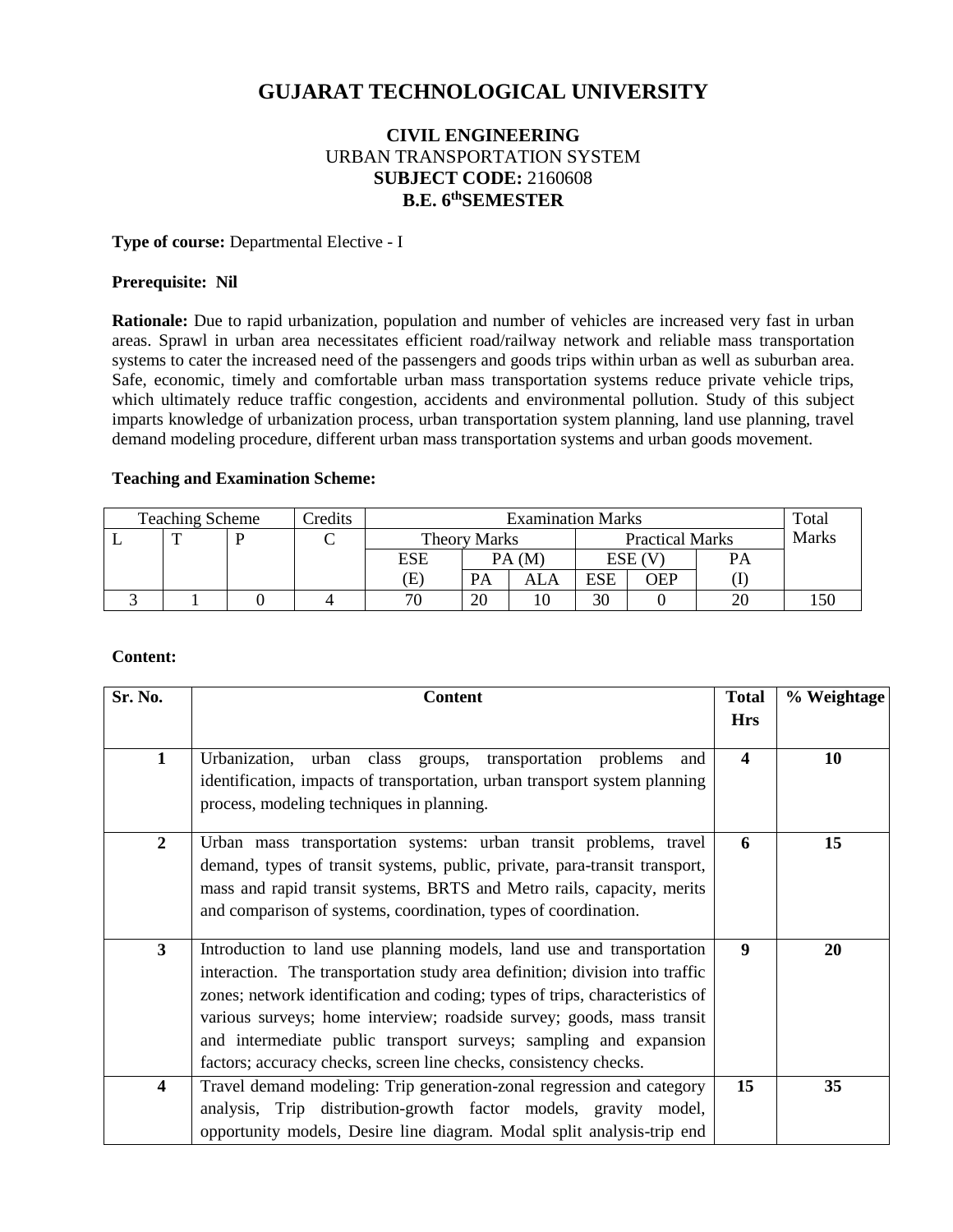# **GUJARAT TECHNOLOGICAL UNIVERSITY**

## **CIVIL ENGINEERING** URBAN TRANSPORTATION SYSTEM **SUBJECT CODE:** 2160608 **B.E. 6 thSEMESTER**

### **Type of course:** Departmental Elective - I

## **Prerequisite: Nil**

**Rationale:** Due to rapid urbanization, population and number of vehicles are increased very fast in urban areas. Sprawl in urban area necessitates efficient road/railway network and reliable mass transportation systems to cater the increased need of the passengers and goods trips within urban as well as suburban area. Safe, economic, timely and comfortable urban mass transportation systems reduce private vehicle trips, which ultimately reduce traffic congestion, accidents and environmental pollution. Study of this subject imparts knowledge of urbanization process, urban transportation system planning, land use planning, travel demand modeling procedure, different urban mass transportation systems and urban goods movement.

### **Teaching and Examination Scheme:**

| <b>Teaching Scheme</b><br>Credits |  |  | <b>Examination Marks</b> |                            |    |                        |            | Total  |              |  |
|-----------------------------------|--|--|--------------------------|----------------------------|----|------------------------|------------|--------|--------------|--|
|                                   |  |  |                          | <b>Theory Marks</b>        |    | <b>Practical Marks</b> |            |        | <b>Marks</b> |  |
|                                   |  |  |                          | ESE                        |    | PA(M)                  |            | ESE (V | <b>PA</b>    |  |
|                                   |  |  |                          | $\left( \mathrm{E}\right)$ | PA | ALA                    | <b>ESE</b> | OEP    |              |  |
|                                   |  |  |                          | 70                         | 20 |                        | 30         |        |              |  |

#### **Content:**

| Sr. No.                 | <b>Content</b>                                                                                                                                                                                                                                                                                                                                                                                                                                           | <b>Total</b>            | % Weightage |
|-------------------------|----------------------------------------------------------------------------------------------------------------------------------------------------------------------------------------------------------------------------------------------------------------------------------------------------------------------------------------------------------------------------------------------------------------------------------------------------------|-------------------------|-------------|
|                         |                                                                                                                                                                                                                                                                                                                                                                                                                                                          | <b>Hrs</b>              |             |
| $\mathbf{1}$            | Urbanization, urban class groups, transportation problems<br>and<br>identification, impacts of transportation, urban transport system planning<br>process, modeling techniques in planning.                                                                                                                                                                                                                                                              | $\overline{\mathbf{4}}$ | 10          |
| $\boldsymbol{2}$        | Urban mass transportation systems: urban transit problems, travel<br>demand, types of transit systems, public, private, para-transit transport,<br>mass and rapid transit systems, BRTS and Metro rails, capacity, merits<br>and comparison of systems, coordination, types of coordination.                                                                                                                                                             | 6                       | 15          |
| $\mathbf{3}$            | Introduction to land use planning models, land use and transportation<br>interaction. The transportation study area definition; division into traffic<br>zones; network identification and coding; types of trips, characteristics of<br>various surveys; home interview; roadside survey; goods, mass transit<br>and intermediate public transport surveys; sampling and expansion<br>factors; accuracy checks, screen line checks, consistency checks. | 9                       | 20          |
| $\overline{\mathbf{4}}$ | Travel demand modeling: Trip generation-zonal regression and category<br>analysis, Trip distribution-growth factor models, gravity model,<br>opportunity models, Desire line diagram. Modal split analysis-trip end                                                                                                                                                                                                                                      | 15                      | 35          |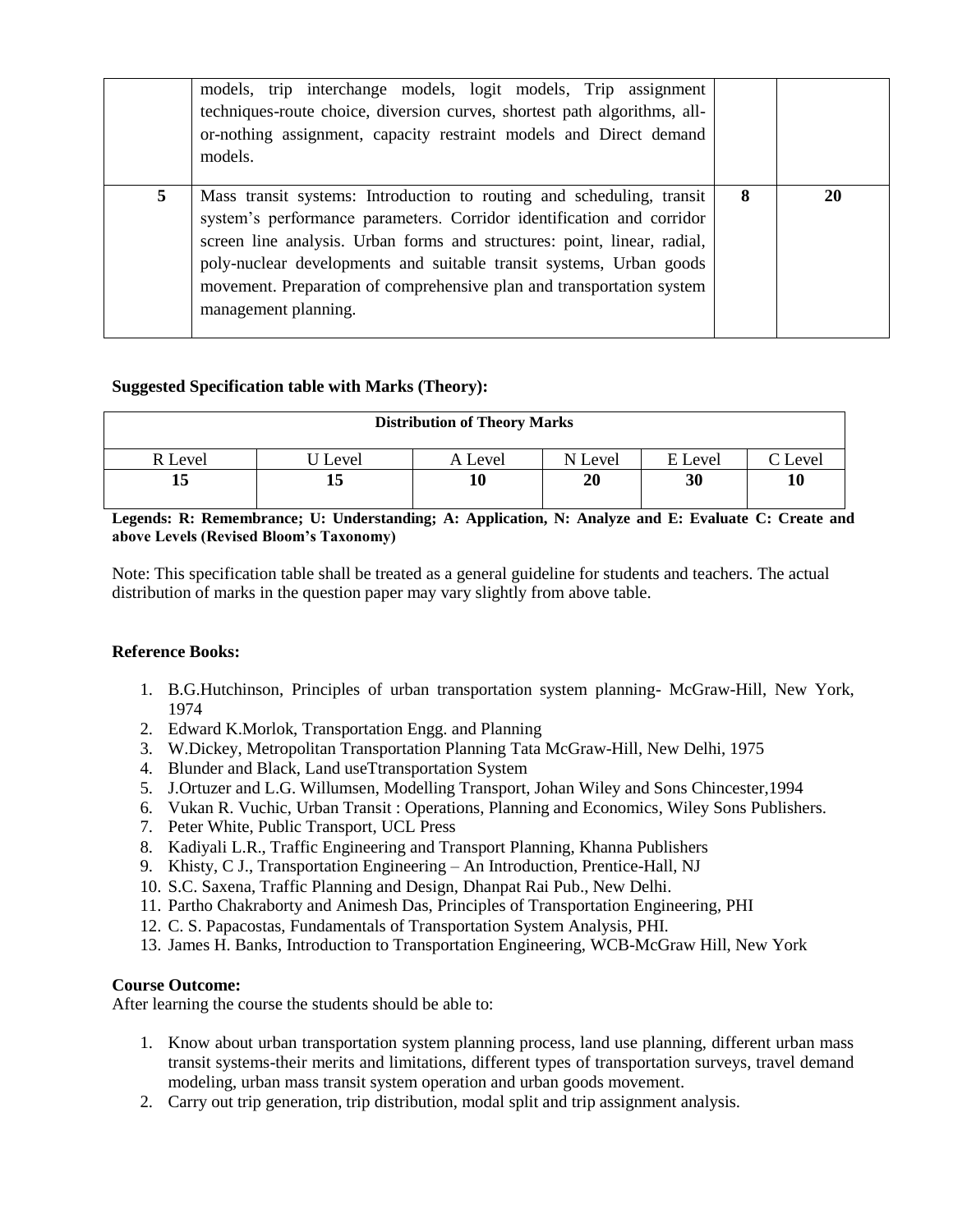|   | models, trip interchange models, logit models, Trip assignment<br>techniques-route choice, diversion curves, shortest path algorithms, all-<br>or-nothing assignment, capacity restraint models and Direct demand<br>models.                                                                                                                                                                       |   |    |
|---|----------------------------------------------------------------------------------------------------------------------------------------------------------------------------------------------------------------------------------------------------------------------------------------------------------------------------------------------------------------------------------------------------|---|----|
| 5 | Mass transit systems: Introduction to routing and scheduling, transit<br>system's performance parameters. Corridor identification and corridor<br>screen line analysis. Urban forms and structures: point, linear, radial,<br>poly-nuclear developments and suitable transit systems, Urban goods<br>movement. Preparation of comprehensive plan and transportation system<br>management planning. | 8 | 20 |

## **Suggested Specification table with Marks (Theory):**

| <b>Distribution of Theory Marks</b> |       |         |         |         |                     |  |  |
|-------------------------------------|-------|---------|---------|---------|---------------------|--|--|
| <b>R</b> Level                      | Level | A Level | N Level | E Level | $\mathcal{C}$ Level |  |  |
|                                     | 13    |         | 20      | 30      | 10                  |  |  |

**Legends: R: Remembrance; U: Understanding; A: Application, N: Analyze and E: Evaluate C: Create and above Levels (Revised Bloom's Taxonomy)**

Note: This specification table shall be treated as a general guideline for students and teachers. The actual distribution of marks in the question paper may vary slightly from above table.

## **Reference Books:**

- 1. B.G.Hutchinson, Principles of urban transportation system planning- McGraw-Hill, New York, 1974
- 2. Edward K.Morlok, Transportation Engg. and Planning
- 3. W.Dickey, Metropolitan Transportation Planning Tata McGraw-Hill, New Delhi, 1975
- 4. Blunder and Black, Land useTtransportation System
- 5. J.Ortuzer and L.G. Willumsen, Modelling Transport, Johan Wiley and Sons Chincester,1994
- 6. Vukan R. Vuchic, Urban Transit : Operations, Planning and Economics, Wiley Sons Publishers.
- 7. Peter White, Public Transport, UCL Press
- 8. Kadiyali L.R., Traffic Engineering and Transport Planning, Khanna Publishers
- 9. Khisty, C J., Transportation Engineering An Introduction, Prentice-Hall, NJ
- 10. S.C. Saxena, Traffic Planning and Design, Dhanpat Rai Pub., New Delhi.
- 11. Partho Chakraborty and Animesh Das, Principles of Transportation Engineering, PHI
- 12. C. S. Papacostas, Fundamentals of Transportation System Analysis, PHI.
- 13. James H. Banks, Introduction to Transportation Engineering, WCB-McGraw Hill, New York

## **Course Outcome:**

After learning the course the students should be able to:

- 1. Know about urban transportation system planning process, land use planning, different urban mass transit systems-their merits and limitations, different types of transportation surveys, travel demand modeling, urban mass transit system operation and urban goods movement.
- 2. Carry out trip generation, trip distribution, modal split and trip assignment analysis.